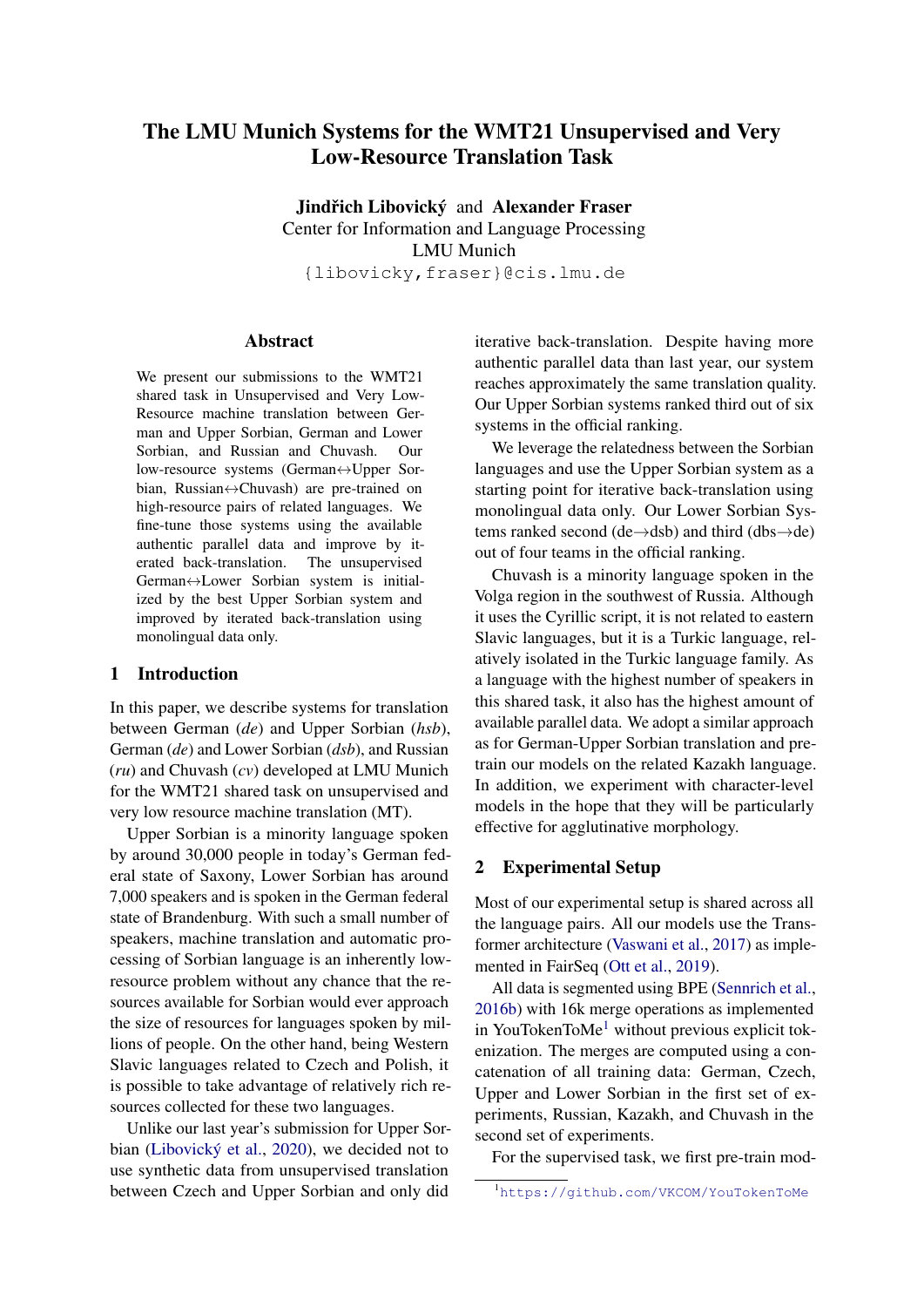# The LMU Munich Systems for the WMT21 Unsupervised and Very Low-Resource Translation Task

Jindřich Libovický and Alexander Fraser Center for Information and Language Processing LMU Munich {libovicky,fraser}@cis.lmu.de

#### Abstract

We present our submissions to the WMT21 shared task in Unsupervised and Very Low-Resource machine translation between German and Upper Sorbian, German and Lower Sorbian, and Russian and Chuvash. Our low-resource systems (German↔Upper Sorbian, Russian↔Chuvash) are pre-trained on high-resource pairs of related languages. We fine-tune those systems using the available authentic parallel data and improve by iterated back-translation. The unsupervised German↔Lower Sorbian system is initialized by the best Upper Sorbian system and improved by iterated back-translation using monolingual data only.

### 1 Introduction

In this paper, we describe systems for translation between German (*de*) and Upper Sorbian (*hsb*), German (*de*) and Lower Sorbian (*dsb*), and Russian (*ru*) and Chuvash (*cv*) developed at LMU Munich for the WMT21 shared task on unsupervised and very low resource machine translation (MT).

Upper Sorbian is a minority language spoken by around 30,000 people in today's German federal state of Saxony, Lower Sorbian has around 7,000 speakers and is spoken in the German federal state of Brandenburg. With such a small number of speakers, machine translation and automatic processing of Sorbian language is an inherently lowresource problem without any chance that the resources available for Sorbian would ever approach the size of resources for languages spoken by millions of people. On the other hand, being Western Slavic languages related to Czech and Polish, it is possible to take advantage of relatively rich resources collected for these two languages.

Unlike our last year's submission for Upper Sorbian [\(Libovický et al.,](#page-4-0) [2020\)](#page-4-0), we decided not to use synthetic data from unsupervised translation between Czech and Upper Sorbian and only did

iterative back-translation. Despite having more authentic parallel data than last year, our system reaches approximately the same translation quality. Our Upper Sorbian systems ranked third out of six systems in the official ranking.

We leverage the relatedness between the Sorbian languages and use the Upper Sorbian system as a starting point for iterative back-translation using monolingual data only. Our Lower Sorbian Systems ranked second (de→dsb) and third (dbs→de) out of four teams in the official ranking.

Chuvash is a minority language spoken in the Volga region in the southwest of Russia. Although it uses the Cyrillic script, it is not related to eastern Slavic languages, but it is a Turkic language, relatively isolated in the Turkic language family. As a language with the highest number of speakers in this shared task, it also has the highest amount of available parallel data. We adopt a similar approach as for German-Upper Sorbian translation and pretrain our models on the related Kazakh language. In addition, we experiment with character-level models in the hope that they will be particularly effective for agglutinative morphology.

#### 2 Experimental Setup

Most of our experimental setup is shared across all the language pairs. All our models use the Transformer architecture [\(Vaswani et al.,](#page-5-0) [2017\)](#page-5-0) as implemented in FairSeq [\(Ott et al.,](#page-4-1) [2019\)](#page-4-1).

All data is segmented using BPE [\(Sennrich et al.,](#page-5-1) [2016b\)](#page-5-1) with 16k merge operations as implemented in YouTokenToMe<sup>[1](#page-0-0)</sup> without previous explicit tokenization. The merges are computed using a concatenation of all training data: German, Czech, Upper and Lower Sorbian in the first set of experiments, Russian, Kazakh, and Chuvash in the second set of experiments.

<span id="page-0-0"></span>For the supervised task, we first pre-train mod-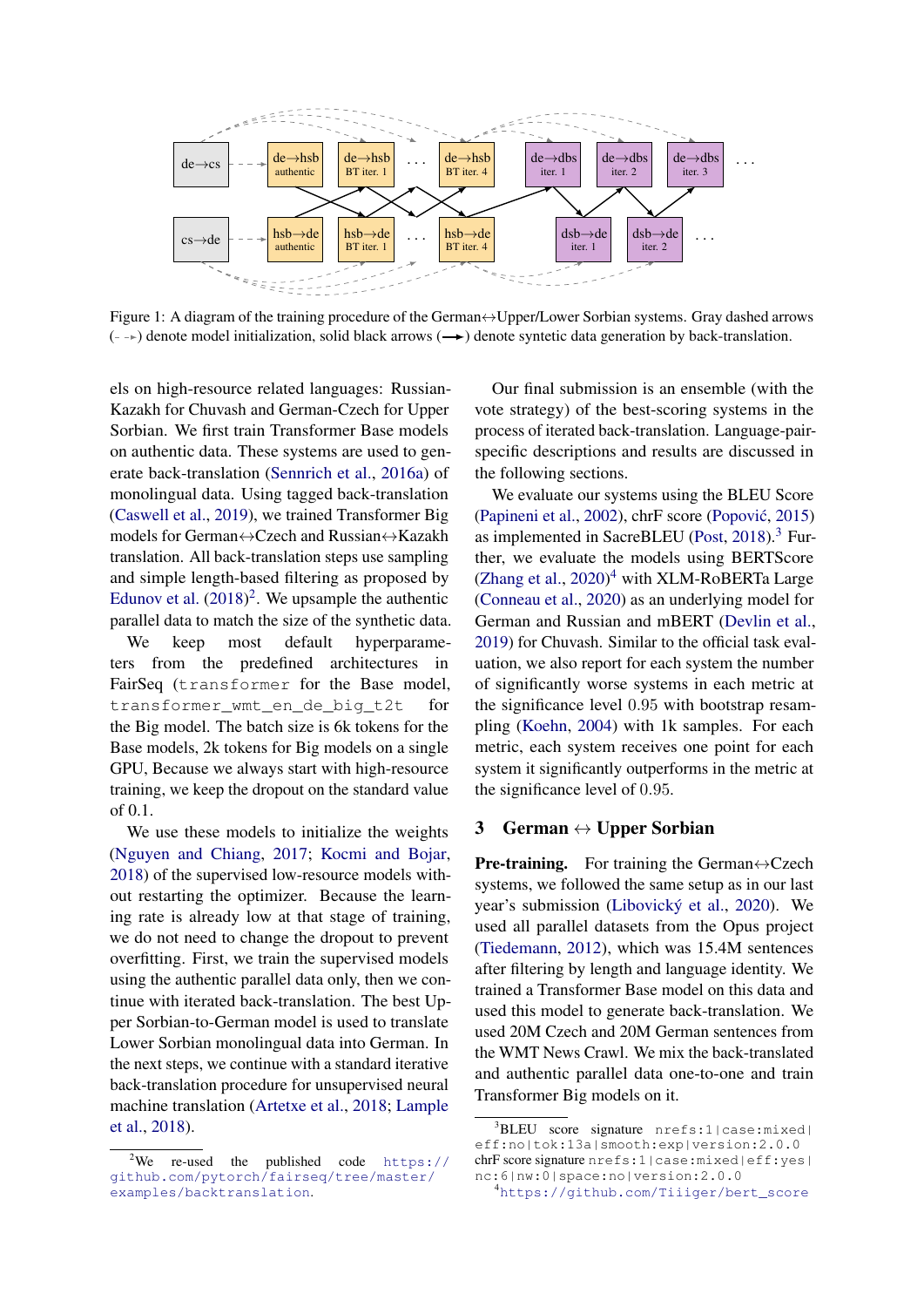<span id="page-1-3"></span>

Figure 1: A diagram of the training procedure of the German↔Upper/Lower Sorbian systems. Gray dashed arrows  $(-\rightarrow)$  denote model initialization, solid black arrows  $(\rightarrow)$  denote syntetic data generation by back-translation.

els on high-resource related languages: Russian-Kazakh for Chuvash and German-Czech for Upper Sorbian. We first train Transformer Base models on authentic data. These systems are used to generate back-translation [\(Sennrich et al.,](#page-5-2) [2016a\)](#page-5-2) of monolingual data. Using tagged back-translation [\(Caswell et al.,](#page-4-2) [2019\)](#page-4-2), we trained Transformer Big models for German↔Czech and Russian↔Kazakh translation. All back-translation steps use sampling and simple length-based filtering as proposed by [Edunov et al.](#page-4-3)  $(2018)^2$  $(2018)^2$  $(2018)^2$ . We upsample the authentic parallel data to match the size of the synthetic data.

We keep most default hyperparameters from the predefined architectures in FairSeq (transformer for the Base model, transformer wmt en de big t2t for the Big model. The batch size is 6k tokens for the Base models, 2k tokens for Big models on a single GPU, Because we always start with high-resource training, we keep the dropout on the standard value of 0.1.

We use these models to initialize the weights [\(Nguyen and Chiang,](#page-4-4) [2017;](#page-4-4) [Kocmi and Bojar,](#page-4-5) [2018\)](#page-4-5) of the supervised low-resource models without restarting the optimizer. Because the learning rate is already low at that stage of training, we do not need to change the dropout to prevent overfitting. First, we train the supervised models using the authentic parallel data only, then we continue with iterated back-translation. The best Upper Sorbian-to-German model is used to translate Lower Sorbian monolingual data into German. In the next steps, we continue with a standard iterative back-translation procedure for unsupervised neural machine translation [\(Artetxe et al.,](#page-4-6) [2018;](#page-4-6) [Lample](#page-4-7) [et al.,](#page-4-7) [2018\)](#page-4-7).

Our final submission is an ensemble (with the vote strategy) of the best-scoring systems in the process of iterated back-translation. Language-pairspecific descriptions and results are discussed in the following sections.

We evaluate our systems using the BLEU Score [\(Papineni et al.,](#page-5-3) [2002\)](#page-5-3), chrF score (Popović, [2015\)](#page-5-4) as implemented in SacreBLEU [\(Post,](#page-5-5) [2018\)](#page-5-5).[3](#page-1-1) Further, we evaluate the models using BERTScore [\(Zhang et al.,](#page-5-6) [2020\)](#page-5-6) [4](#page-1-2) with XLM-RoBERTa Large [\(Conneau et al.,](#page-4-8) [2020\)](#page-4-8) as an underlying model for German and Russian and mBERT [\(Devlin et al.,](#page-4-9) [2019\)](#page-4-9) for Chuvash. Similar to the official task evaluation, we also report for each system the number of significantly worse systems in each metric at the significance level 0.95 with bootstrap resampling [\(Koehn,](#page-4-10) [2004\)](#page-4-10) with 1k samples. For each metric, each system receives one point for each system it significantly outperforms in the metric at the significance level of 0.95.

### 3 German  $\leftrightarrow$  Upper Sorbian

**Pre-training.** For training the German $\leftrightarrow$ Czech systems, we followed the same setup as in our last year's submission [\(Libovický et al.,](#page-4-0) [2020\)](#page-4-0). We used all parallel datasets from the Opus project [\(Tiedemann,](#page-5-7) [2012\)](#page-5-7), which was 15.4M sentences after filtering by length and language identity. We trained a Transformer Base model on this data and used this model to generate back-translation. We used 20M Czech and 20M German sentences from the WMT News Crawl. We mix the back-translated and authentic parallel data one-to-one and train Transformer Big models on it.

<span id="page-1-0"></span><sup>&</sup>lt;sup>2</sup>We re-used the published code  $https://$ [github.com/pytorch/fairseq/tree/master/](https://github.com/pytorch/fairseq/tree/master/examples/backtranslation) [examples/backtranslation](https://github.com/pytorch/fairseq/tree/master/examples/backtranslation).

<span id="page-1-1"></span><sup>3</sup>BLEU score signature nrefs:1|case:mixed| eff:no|tok:13a|smooth:exp|version:2.0.0 chrF score signature nrefs:1|case:mixed|eff:yes| nc:6|nw:0|space:no|version:2.0.0

<span id="page-1-2"></span><sup>4</sup>[https://github.com/Tiiiger/bert\\_score](https://github.com/Tiiiger/bert_score)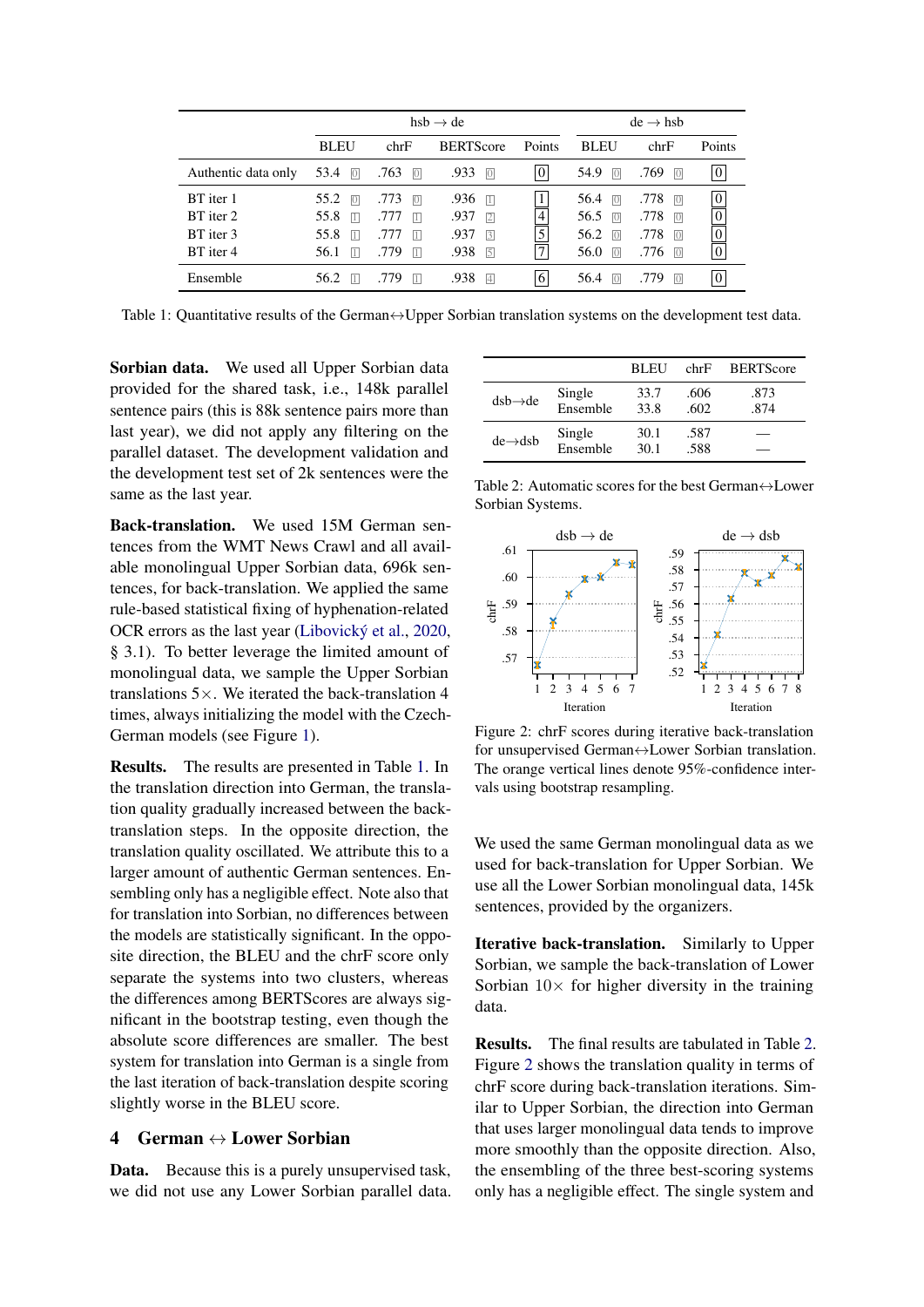<span id="page-2-0"></span>

|                     | $hsb \rightarrow de$ |                        |                        |                | $de \rightarrow hsh$   |                        |                  |  |
|---------------------|----------------------|------------------------|------------------------|----------------|------------------------|------------------------|------------------|--|
|                     | <b>BLEU</b>          | chrF                   | <b>BERTScore</b>       | Points         | <b>BLEU</b>            | chrF                   | Points           |  |
| Authentic data only | 53.4<br> 0           | .763<br> 0             | .933<br>$\overline{0}$ | $\overline{0}$ | 54.9<br> 0             | .769<br>$\overline{0}$ | $\boldsymbol{0}$ |  |
| BT iter 1           | 55.2<br> 0           | .773<br>$\overline{0}$ | .936<br>$\overline{1}$ | $\mathbf{1}$   | 56.4<br>$\overline{0}$ | .778<br>$\overline{0}$ | $\boldsymbol{0}$ |  |
| BT iter 2           | 55.8<br>$\Box$       | .777<br> 1             | .937<br> 2             | $\overline{4}$ | 56.5<br>$\overline{0}$ | .778<br>$\overline{0}$ | $\boldsymbol{0}$ |  |
| BT iter 3           | 55.8<br>$\Box$       | .777<br> 1             | .937<br>$\sqrt{3}$     | $\overline{5}$ | 56.2<br>$\overline{0}$ | .778<br>$\overline{0}$ | $\overline{0}$   |  |
| BT iter 4           | 56.1<br>$\Box$       | .779<br>$\Box$         | .938<br>$\sqrt{5}$     | 7              | 56.0<br>$\overline{0}$ | .776<br>$\overline{0}$ | $\overline{0}$   |  |
| Ensemble            | 56.2<br>$\vert$ 1    | .779<br> 1             | .938<br> 4             | 6              | 56.4<br> 0             | .779<br>$\overline{0}$ | $\boldsymbol{0}$ |  |

Table 1: Quantitative results of the German↔Upper Sorbian translation systems on the development test data.

Sorbian data. We used all Upper Sorbian data provided for the shared task, i.e., 148k parallel sentence pairs (this is 88k sentence pairs more than last year), we did not apply any filtering on the parallel dataset. The development validation and the development test set of 2k sentences were the same as the last year.

Back-translation. We used 15M German sentences from the WMT News Crawl and all available monolingual Upper Sorbian data, 696k sentences, for back-translation. We applied the same rule-based statistical fixing of hyphenation-related OCR errors as the last year [\(Libovický et al.,](#page-4-0) [2020,](#page-4-0) § 3.1). To better leverage the limited amount of monolingual data, we sample the Upper Sorbian translations  $5 \times$ . We iterated the back-translation 4 times, always initializing the model with the Czech-German models (see Figure [1\)](#page-1-3).

Results. The results are presented in Table [1.](#page-2-0) In the translation direction into German, the translation quality gradually increased between the backtranslation steps. In the opposite direction, the translation quality oscillated. We attribute this to a larger amount of authentic German sentences. Ensembling only has a negligible effect. Note also that for translation into Sorbian, no differences between the models are statistically significant. In the opposite direction, the BLEU and the chrF score only separate the systems into two clusters, whereas the differences among BERTScores are always significant in the bootstrap testing, even though the absolute score differences are smaller. The best system for translation into German is a single from the last iteration of back-translation despite scoring slightly worse in the BLEU score.

#### 4 German  $\leftrightarrow$  Lower Sorbian

Data. Because this is a purely unsupervised task, we did not use any Lower Sorbian parallel data.

<span id="page-2-1"></span>

|                      |                    | <b>BLEU</b>  | chrF         | <b>BERTScore</b> |
|----------------------|--------------------|--------------|--------------|------------------|
| $dsb \rightarrow de$ | Single<br>Ensemble | 33.7<br>33.8 | .606<br>.602 | .873<br>.874     |
| $de \rightarrow dsb$ | Single<br>Ensemble | 30.1<br>30.1 | .587<br>.588 |                  |

Table 2: Automatic scores for the best German↔Lower Sorbian Systems.

<span id="page-2-2"></span>

Figure 2: chrF scores during iterative back-translation for unsupervised German↔Lower Sorbian translation. The orange vertical lines denote 95%-confidence intervals using bootstrap resampling.

We used the same German monolingual data as we used for back-translation for Upper Sorbian. We use all the Lower Sorbian monolingual data, 145k sentences, provided by the organizers.

Iterative back-translation. Similarly to Upper Sorbian, we sample the back-translation of Lower Sorbian  $10\times$  for higher diversity in the training data.

Results. The final results are tabulated in Table [2.](#page-2-1) Figure [2](#page-2-2) shows the translation quality in terms of chrF score during back-translation iterations. Similar to Upper Sorbian, the direction into German that uses larger monolingual data tends to improve more smoothly than the opposite direction. Also, the ensembling of the three best-scoring systems only has a negligible effect. The single system and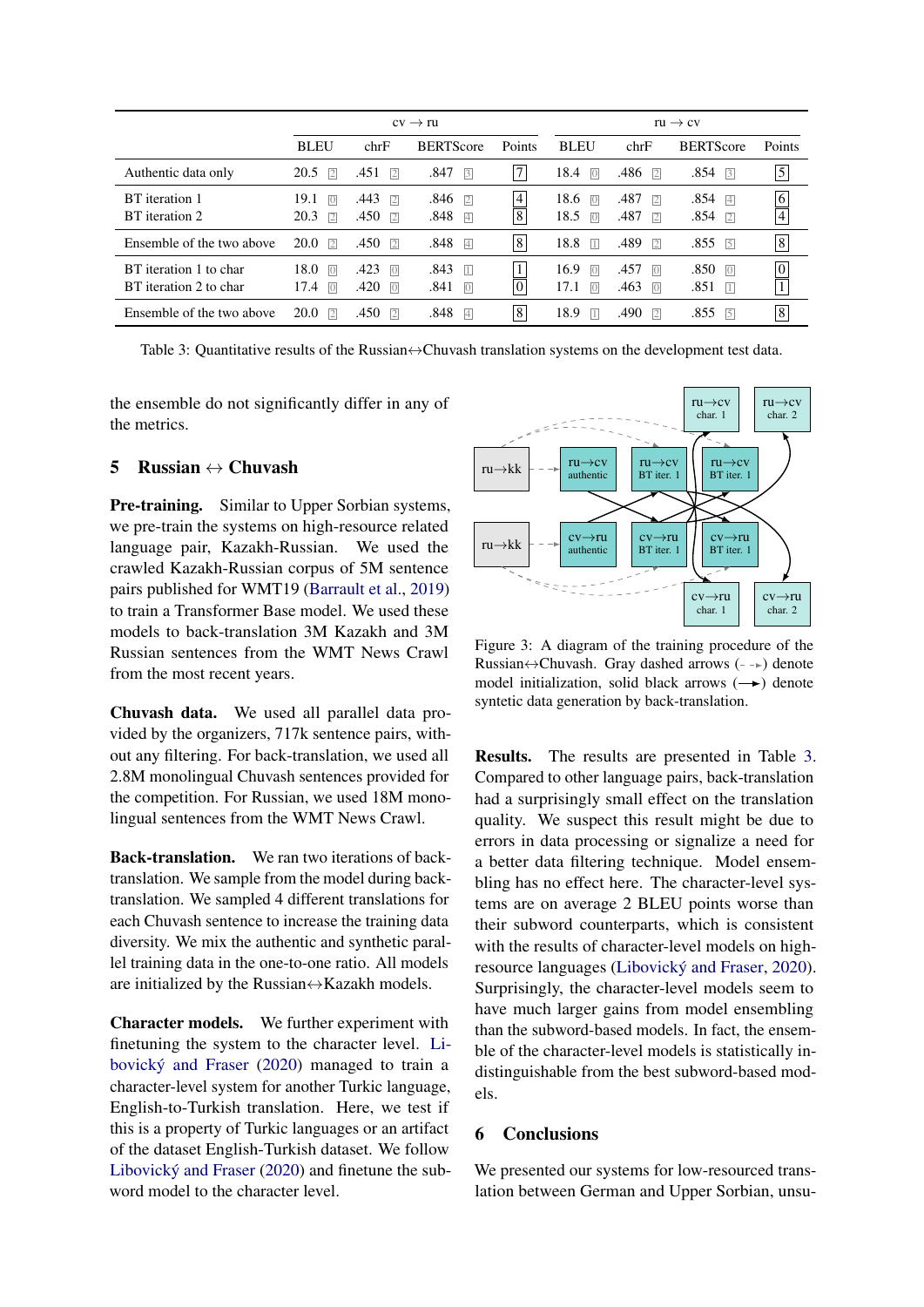<span id="page-3-0"></span>

|                                                  | $cv \rightarrow ru$                          |                                                  |                                         | $ru \rightarrow cv$ |                                                  |                                          |                                      |                                  |
|--------------------------------------------------|----------------------------------------------|--------------------------------------------------|-----------------------------------------|---------------------|--------------------------------------------------|------------------------------------------|--------------------------------------|----------------------------------|
|                                                  | <b>BLEU</b>                                  | chrF                                             | <b>BERTScore</b>                        | Points              | <b>BLEU</b>                                      | chrF                                     | <b>BERTScore</b>                     | Points                           |
| Authentic data only                              | 20.5<br>$\sqrt{2}$                           | .451<br>$\sqrt{2}$                               | $.847$ 3                                | 7                   | 18.4<br>$\overline{0}$                           | .486<br>$\sqrt{2}$                       | $.854$ 3                             | $\vert 5 \vert$                  |
| BT iteration 1<br>BT iteration 2                 | 19.1<br>$\overline{0}$<br>20.3<br>$\sqrt{2}$ | .443<br>$\sqrt{2}$<br>.450<br>$\sqrt{2}$         | $.846$ 2<br>$.848$ 4                    | $\overline{4}$<br>8 | 18.6<br>$\overline{0}$<br>18.5<br>$\overline{0}$ | .487<br>$\sqrt{2}$<br>.487<br>$\sqrt{2}$ | $.854$ 4<br>$.854$ 2                 | $\overline{6}$<br>$\boxed{4}$    |
| Ensemble of the two above                        | 20.0<br>$\sqrt{2}$                           | .450<br>$\sqrt{2}$                               | $.848$ 4                                | 8                   | 18.8<br>$\Box$                                   | .489<br>$\sqrt{2}$                       | $.855$ 5                             | $\boxed{8}$                      |
| BT iteration 1 to char<br>BT iteration 2 to char | 18.0<br> 0 <br>17.4<br> 0                    | .423<br>$\overline{0}$<br>.420<br>$\overline{0}$ | $.843$ $\Box$<br>.841<br>$\overline{0}$ | $\mathbf{0}$        | 16.9<br>$\overline{0}$<br>17.1<br>$\overline{0}$ | .457<br> 0 <br>.463<br> 0                | .850<br>$\sqrt{0}$<br>.851<br>$\Box$ | $\overline{0}$<br>$\overline{1}$ |
| Ensemble of the two above                        | 20.0<br>$\sqrt{2}$                           | .450<br>$\sqrt{2}$                               | $.848$ 4                                | 8                   | 18.9<br>$\Box$                                   | .490<br>$\sqrt{2}$                       | .855<br>$\overline{5}$               | $\vert 8 \vert$                  |

Table 3: Quantitative results of the Russian ↔ Chuvash translation systems on the development test data.

the ensemble do not significantly differ in any of the metrics.

### 5 Russian  $\leftrightarrow$  Chuvash

Pre-training. Similar to Upper Sorbian systems, we pre-train the systems on high-resource related language pair, Kazakh-Russian. We used the crawled Kazakh-Russian corpus of 5M sentence pairs published for WMT19 [\(Barrault et al.,](#page-4-11) [2019\)](#page-4-11) to train a Transformer Base model. We used these models to back-translation 3M Kazakh and 3M Russian sentences from the WMT News Crawl from the most recent years.

Chuvash data. We used all parallel data provided by the organizers, 717k sentence pairs, without any filtering. For back-translation, we used all 2.8M monolingual Chuvash sentences provided for the competition. For Russian, we used 18M monolingual sentences from the WMT News Crawl.

Back-translation. We ran two iterations of backtranslation. We sample from the model during backtranslation. We sampled 4 different translations for each Chuvash sentence to increase the training data diversity. We mix the authentic and synthetic parallel training data in the one-to-one ratio. All models are initialized by the Russian $\leftrightarrow$ Kazakh models.

Character models. We further experiment with finetuning the system to the character level. [Li](#page-4-12)[bovický and Fraser](#page-4-12) [\(2020\)](#page-4-12) managed to train a character-level system for another Turkic language, English-to-Turkish translation. Here, we test if this is a property of Turkic languages or an artifact of the dataset English-Turkish dataset. We follow [Libovický and Fraser](#page-4-12) [\(2020\)](#page-4-12) and finetune the subword model to the character level.



Figure 3: A diagram of the training procedure of the Russian $\leftrightarrow$ Chuvash. Gray dashed arrows ( $\rightarrow$ ) denote model initialization, solid black arrows  $(\rightarrow)$  denote syntetic data generation by back-translation.

Results. The results are presented in Table [3.](#page-3-0) Compared to other language pairs, back-translation had a surprisingly small effect on the translation quality. We suspect this result might be due to errors in data processing or signalize a need for a better data filtering technique. Model ensembling has no effect here. The character-level systems are on average 2 BLEU points worse than their subword counterparts, which is consistent with the results of character-level models on highresource languages [\(Libovický and Fraser,](#page-4-12) [2020\)](#page-4-12). Surprisingly, the character-level models seem to have much larger gains from model ensembling than the subword-based models. In fact, the ensemble of the character-level models is statistically indistinguishable from the best subword-based models.

## 6 Conclusions

We presented our systems for low-resourced translation between German and Upper Sorbian, unsu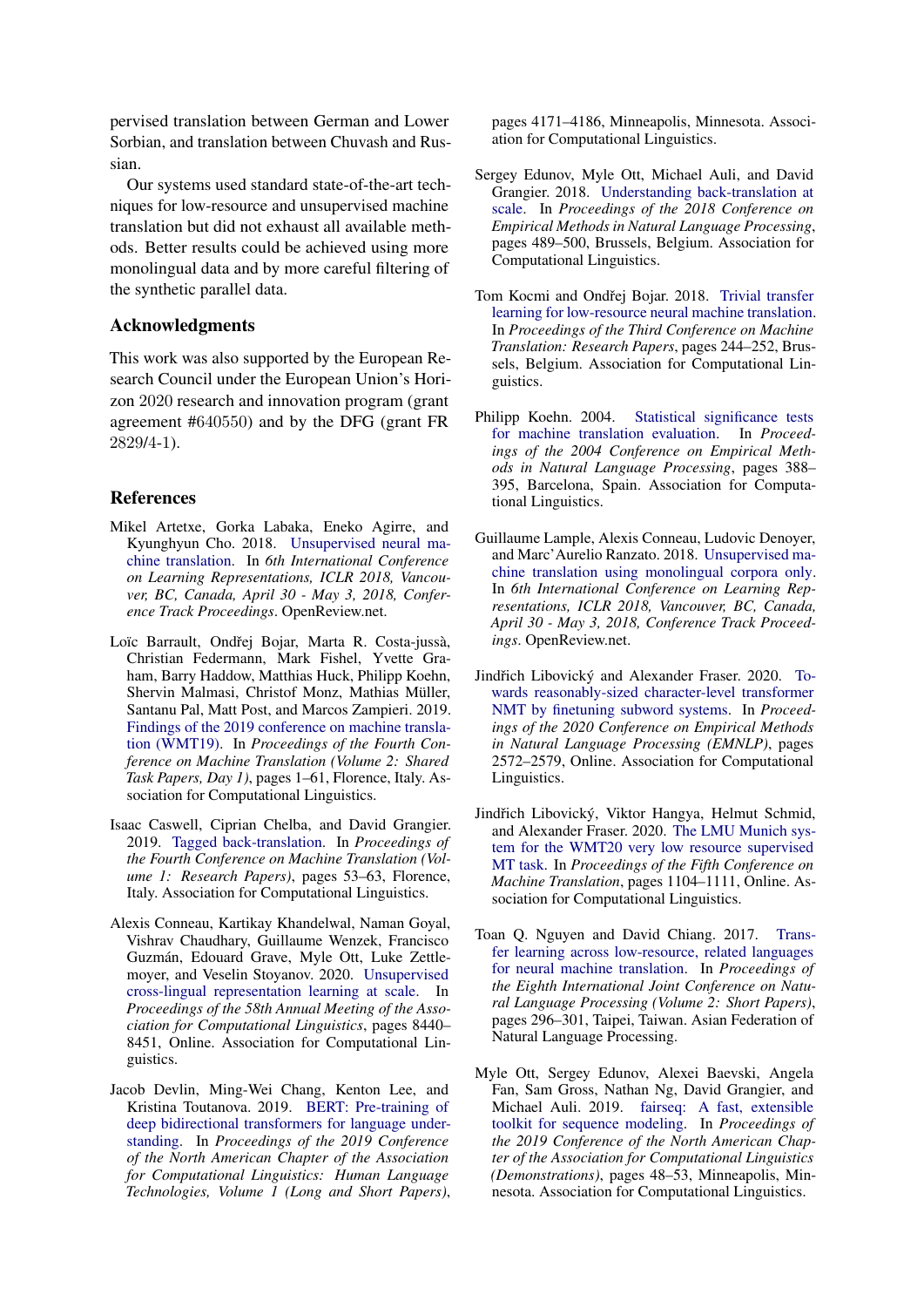pervised translation between German and Lower Sorbian, and translation between Chuvash and Russian.

Our systems used standard state-of-the-art techniques for low-resource and unsupervised machine translation but did not exhaust all available methods. Better results could be achieved using more monolingual data and by more careful filtering of the synthetic parallel data.

### Acknowledgments

This work was also supported by the European Research Council under the European Union's Horizon 2020 research and innovation program (grant agreement #640550) and by the DFG (grant FR 2829/4-1).

#### **References**

- <span id="page-4-6"></span>Mikel Artetxe, Gorka Labaka, Eneko Agirre, and Kyunghyun Cho. 2018. [Unsupervised neural ma](https://openreview.net/forum?id=Sy2ogebAW)[chine translation.](https://openreview.net/forum?id=Sy2ogebAW) In *6th International Conference on Learning Representations, ICLR 2018, Vancouver, BC, Canada, April 30 - May 3, 2018, Conference Track Proceedings*. OpenReview.net.
- <span id="page-4-11"></span>Loïc Barrault, Ondřej Bojar, Marta R. Costa-jussà, Christian Federmann, Mark Fishel, Yvette Graham, Barry Haddow, Matthias Huck, Philipp Koehn, Shervin Malmasi, Christof Monz, Mathias Müller, Santanu Pal, Matt Post, and Marcos Zampieri. 2019. [Findings of the 2019 conference on machine transla](https://doi.org/10.18653/v1/W19-5301)[tion \(WMT19\).](https://doi.org/10.18653/v1/W19-5301) In *Proceedings of the Fourth Conference on Machine Translation (Volume 2: Shared Task Papers, Day 1)*, pages 1–61, Florence, Italy. Association for Computational Linguistics.
- <span id="page-4-2"></span>Isaac Caswell, Ciprian Chelba, and David Grangier. 2019. [Tagged back-translation.](https://doi.org/10.18653/v1/W19-5206) In *Proceedings of the Fourth Conference on Machine Translation (Volume 1: Research Papers)*, pages 53–63, Florence, Italy. Association for Computational Linguistics.
- <span id="page-4-8"></span>Alexis Conneau, Kartikay Khandelwal, Naman Goyal, Vishrav Chaudhary, Guillaume Wenzek, Francisco Guzmán, Edouard Grave, Myle Ott, Luke Zettlemoyer, and Veselin Stoyanov. 2020. [Unsupervised](https://doi.org/10.18653/v1/2020.acl-main.747) [cross-lingual representation learning at scale.](https://doi.org/10.18653/v1/2020.acl-main.747) In *Proceedings of the 58th Annual Meeting of the Association for Computational Linguistics*, pages 8440– 8451, Online. Association for Computational Linguistics.
- <span id="page-4-9"></span>Jacob Devlin, Ming-Wei Chang, Kenton Lee, and Kristina Toutanova. 2019. [BERT: Pre-training of](https://doi.org/10.18653/v1/N19-1423) [deep bidirectional transformers for language under](https://doi.org/10.18653/v1/N19-1423)[standing.](https://doi.org/10.18653/v1/N19-1423) In *Proceedings of the 2019 Conference of the North American Chapter of the Association for Computational Linguistics: Human Language Technologies, Volume 1 (Long and Short Papers)*,

pages 4171–4186, Minneapolis, Minnesota. Association for Computational Linguistics.

- <span id="page-4-3"></span>Sergey Edunov, Myle Ott, Michael Auli, and David Grangier. 2018. [Understanding back-translation at](https://doi.org/10.18653/v1/D18-1045) [scale.](https://doi.org/10.18653/v1/D18-1045) In *Proceedings of the 2018 Conference on Empirical Methods in Natural Language Processing*, pages 489–500, Brussels, Belgium. Association for Computational Linguistics.
- <span id="page-4-5"></span>Tom Kocmi and Ondřej Bojar. 2018. [Trivial transfer](https://doi.org/10.18653/v1/W18-6325) [learning for low-resource neural machine translation.](https://doi.org/10.18653/v1/W18-6325) In *Proceedings of the Third Conference on Machine Translation: Research Papers*, pages 244–252, Brussels, Belgium. Association for Computational Linguistics.
- <span id="page-4-10"></span>Philipp Koehn. 2004. [Statistical significance tests](https://aclanthology.org/W04-3250) [for machine translation evaluation.](https://aclanthology.org/W04-3250) In *Proceedings of the 2004 Conference on Empirical Methods in Natural Language Processing*, pages 388– 395, Barcelona, Spain. Association for Computational Linguistics.
- <span id="page-4-7"></span>Guillaume Lample, Alexis Conneau, Ludovic Denoyer, and Marc'Aurelio Ranzato. 2018. [Unsupervised ma](https://openreview.net/forum?id=rkYTTf-AZ)[chine translation using monolingual corpora only.](https://openreview.net/forum?id=rkYTTf-AZ) In *6th International Conference on Learning Representations, ICLR 2018, Vancouver, BC, Canada, April 30 - May 3, 2018, Conference Track Proceedings*. OpenReview.net.
- <span id="page-4-12"></span>Jindřich Libovický and Alexander Fraser. 2020. [To](https://doi.org/10.18653/v1/2020.emnlp-main.203)[wards reasonably-sized character-level transformer](https://doi.org/10.18653/v1/2020.emnlp-main.203) [NMT by finetuning subword systems.](https://doi.org/10.18653/v1/2020.emnlp-main.203) In *Proceedings of the 2020 Conference on Empirical Methods in Natural Language Processing (EMNLP)*, pages 2572–2579, Online. Association for Computational Linguistics.
- <span id="page-4-0"></span>Jindřich Libovický, Viktor Hangya, Helmut Schmid, and Alexander Fraser. 2020. [The LMU Munich sys](https://aclanthology.org/2020.wmt-1.131)[tem for the WMT20 very low resource supervised](https://aclanthology.org/2020.wmt-1.131) [MT task.](https://aclanthology.org/2020.wmt-1.131) In *Proceedings of the Fifth Conference on Machine Translation*, pages 1104–1111, Online. Association for Computational Linguistics.
- <span id="page-4-4"></span>Toan Q. Nguyen and David Chiang. 2017. [Trans](https://aclanthology.org/I17-2050)[fer learning across low-resource, related languages](https://aclanthology.org/I17-2050) [for neural machine translation.](https://aclanthology.org/I17-2050) In *Proceedings of the Eighth International Joint Conference on Natural Language Processing (Volume 2: Short Papers)*, pages 296–301, Taipei, Taiwan. Asian Federation of Natural Language Processing.
- <span id="page-4-1"></span>Myle Ott, Sergey Edunov, Alexei Baevski, Angela Fan, Sam Gross, Nathan Ng, David Grangier, and Michael Auli. 2019. [fairseq: A fast, extensible](https://doi.org/10.18653/v1/N19-4009) [toolkit for sequence modeling.](https://doi.org/10.18653/v1/N19-4009) In *Proceedings of the 2019 Conference of the North American Chapter of the Association for Computational Linguistics (Demonstrations)*, pages 48–53, Minneapolis, Minnesota. Association for Computational Linguistics.